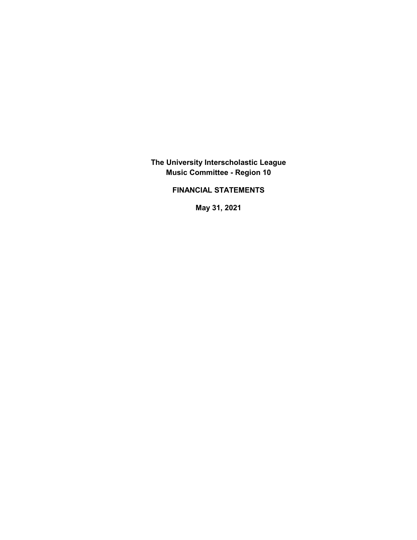**The University Interscholastic League Music Committee - Region 10**

 **FINANCIAL STATEMENTS**

 **May 31, 2021**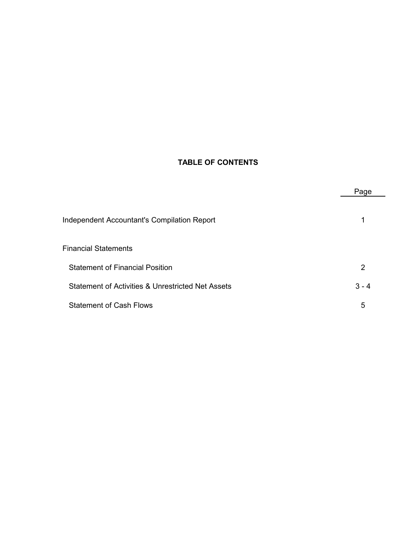# **TABLE OF CONTENTS**

|                                                   | Page    |
|---------------------------------------------------|---------|
| Independent Accountant's Compilation Report       |         |
| <b>Financial Statements</b>                       |         |
| <b>Statement of Financial Position</b>            | 2       |
| Statement of Activities & Unrestricted Net Assets | $3 - 4$ |
| <b>Statement of Cash Flows</b>                    | 5       |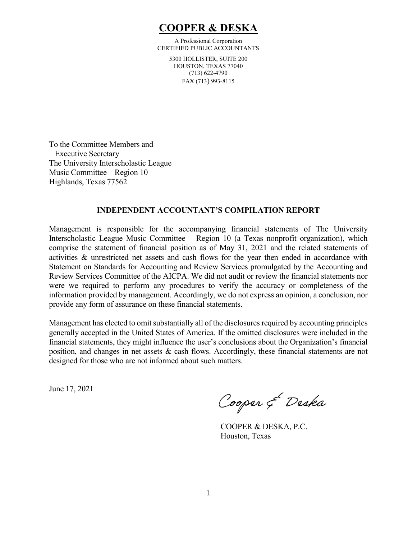# **COOPER & DESKA**

A Professional Corporation CERTIFIED PUBLIC ACCOUNTANTS

> 5300 HOLLISTER, SUITE 200 HOUSTON, TEXAS 77040 (713) 622-4790 FAX (713) 993-8115

To the Committee Members and Executive Secretary The University Interscholastic League Music Committee – Region 10 Highlands, Texas 77562

#### **INDEPENDENT ACCOUNTANT'S COMPILATION REPORT**

Management is responsible for the accompanying financial statements of The University Interscholastic League Music Committee – Region 10 (a Texas nonprofit organization), which comprise the statement of financial position as of May 31, 2021 and the related statements of activities & unrestricted net assets and cash flows for the year then ended in accordance with Statement on Standards for Accounting and Review Services promulgated by the Accounting and Review Services Committee of the AICPA. We did not audit or review the financial statements nor were we required to perform any procedures to verify the accuracy or completeness of the information provided by management. Accordingly, we do not express an opinion, a conclusion, nor provide any form of assurance on these financial statements.

Management has elected to omit substantially all of the disclosures required by accounting principles generally accepted in the United States of America. If the omitted disclosures were included in the financial statements, they might influence the user's conclusions about the Organization's financial position, and changes in net assets & cash flows. Accordingly, these financial statements are not designed for those who are not informed about such matters.

June 17, 2021

Cooper & Deska

 COOPER & DESKA, P.C. Houston, Texas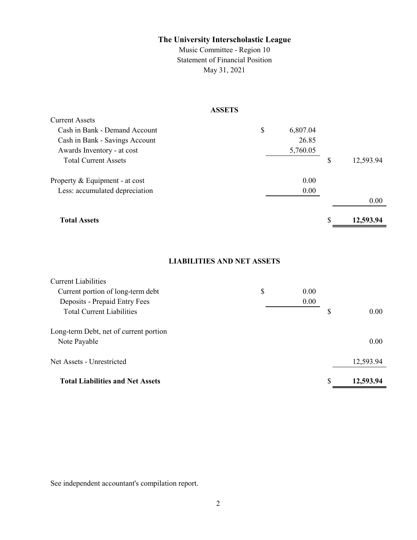Music Committee - Region 10 Statement of Financial Position May 31, 2021

### **ASSETS**

| Cash in Bank - Demand Account<br>Cash in Bank - Savings Account | \$<br>6,807.04<br>26.85 |                 |
|-----------------------------------------------------------------|-------------------------|-----------------|
| Awards Inventory - at cost                                      | 5,760.05                |                 |
| <b>Total Current Assets</b>                                     |                         | \$<br>12,593.94 |
| Property & Equipment - at cost                                  | 0.00                    |                 |
| Less: accumulated depreciation                                  | 0.00                    |                 |
|                                                                 |                         | 0.00            |
| <b>Total Assets</b>                                             |                         | 12,593.94       |

#### **LIABILITIES AND NET ASSETS**

| Current Liabilities                     |    |      |    |           |
|-----------------------------------------|----|------|----|-----------|
| Current portion of long-term debt       | \$ | 0.00 |    |           |
| Deposits - Prepaid Entry Fees           |    | 0.00 |    |           |
| <b>Total Current Liabilities</b>        |    |      | S  | 0.00      |
| Long-term Debt, net of current portion  |    |      |    |           |
| Note Payable                            |    |      |    | 0.00      |
| Net Assets - Unrestricted               |    |      |    | 12,593.94 |
| <b>Total Liabilities and Net Assets</b> |    |      | \$ | 12,593.94 |

See independent accountant's compilation report.

Current Assets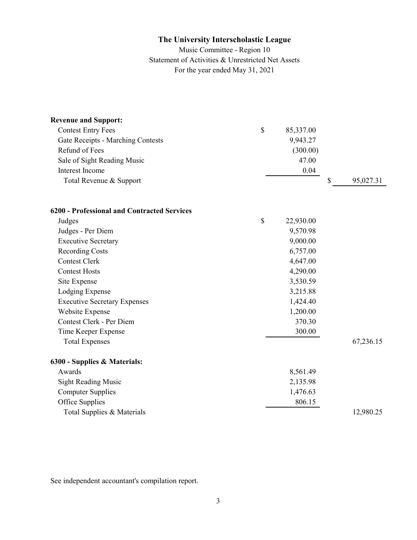Music Committee - Region 10 Statement of Activities & Unrestricted Net Assets For the year ended May 31, 2021

| <b>Revenue and Support:</b>                 |                           |           |                 |
|---------------------------------------------|---------------------------|-----------|-----------------|
| <b>Contest Entry Fees</b>                   | \$                        | 85,337.00 |                 |
| Gate Receipts - Marching Contests           |                           | 9,943.27  |                 |
| Refund of Fees                              |                           | (300.00)  |                 |
| Sale of Sight Reading Music                 |                           | 47.00     |                 |
| Interest Income                             |                           | 0.04      |                 |
| Total Revenue & Support                     |                           |           | \$<br>95,027.31 |
| 6200 - Professional and Contracted Services |                           |           |                 |
| Judges                                      | $\boldsymbol{\mathsf{S}}$ | 22,930.00 |                 |
| Judges - Per Diem                           |                           | 9,570.98  |                 |
| <b>Executive Secretary</b>                  |                           | 9,000.00  |                 |
| <b>Recording Costs</b>                      |                           | 6,757.00  |                 |
| <b>Contest Clerk</b>                        |                           | 4,647.00  |                 |
| <b>Contest Hosts</b>                        |                           | 4,290.00  |                 |
| Site Expense                                |                           | 3,530.59  |                 |
| Lodging Expense                             |                           | 3,215.88  |                 |
| <b>Executive Secretary Expenses</b>         |                           | 1,424.40  |                 |
| Website Expense                             |                           | 1,200.00  |                 |
| Contest Clerk - Per Diem                    |                           | 370.30    |                 |
| Time Keeper Expense                         |                           | 300.00    |                 |
| <b>Total Expenses</b>                       |                           |           | 67,236.15       |
| 6300 - Supplies & Materials:                |                           |           |                 |
| Awards                                      |                           | 8,561.49  |                 |
| <b>Sight Reading Music</b>                  |                           | 2,135.98  |                 |
| <b>Computer Supplies</b>                    |                           | 1,476.63  |                 |
| Office Supplies                             |                           | 806.15    |                 |
| Total Supplies & Materials                  |                           |           | 12,980.25       |

See independent accountant's compilation report.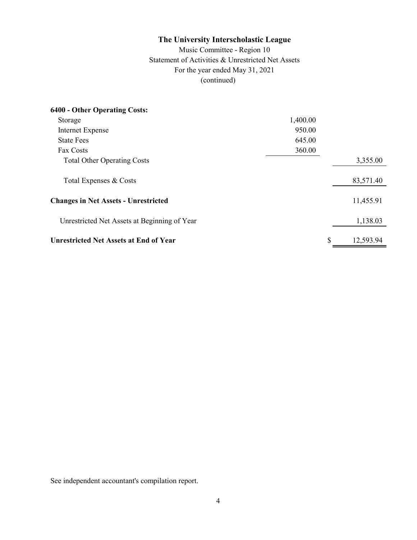Music Committee - Region 10 Statement of Activities & Unrestricted Net Assets For the year ended May 31, 2021 (continued)

| <b>6400 - Other Operating Costs:</b>          |          |           |
|-----------------------------------------------|----------|-----------|
| Storage                                       | 1,400.00 |           |
| Internet Expense                              | 950.00   |           |
| <b>State Fees</b>                             | 645.00   |           |
| Fax Costs                                     | 360.00   |           |
| <b>Total Other Operating Costs</b>            |          | 3,355.00  |
| Total Expenses & Costs                        |          | 83,571.40 |
| <b>Changes in Net Assets - Unrestricted</b>   |          | 11,455.91 |
| Unrestricted Net Assets at Beginning of Year  |          | 1,138.03  |
| <b>Unrestricted Net Assets at End of Year</b> | \$       | 12,593.94 |

See independent accountant's compilation report.